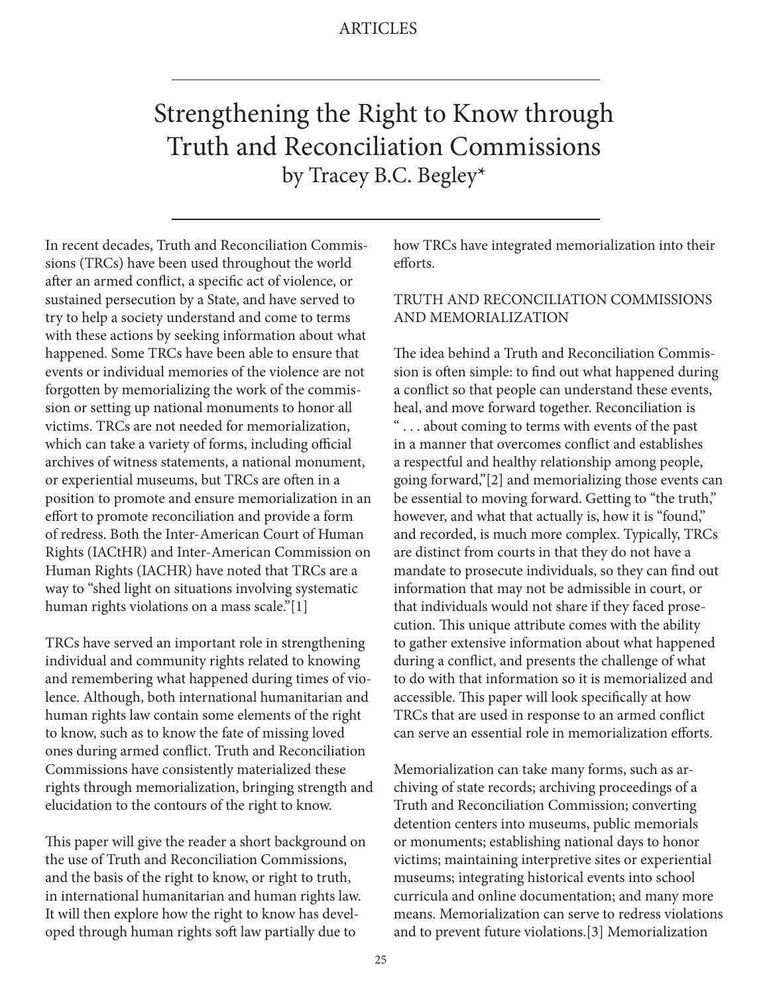# Strengthening the Right to Know through Truth and Reconciliation Commissions by Tracey B.C. Begley\*

In recent decades, Truth and Reconciliation Commissions (TRCs) have been used throughout the world after an armed conflict, a specific act of violence, or sustained persecution by a State, and have served to try to help a society understand and come to terms with these actions by seeking information about what happened. Some TRCs have been able to ensure that events or individual memories of the violence are not forgotten by memorializing the work of the commission or setting up national monuments to honor all victims. TRCs are not needed for memorialization, which can take a variety of forms, including official archives of witness statements, a national monument, or experiential museums, but TRCs are often in a position to promote and ensure memorialization in an effort to promote reconciliation and provide a form of redress. Both the Inter-American Court of Human Rights (IACtHR) and Inter-American Commission on Human Rights (IACHR) have noted that TRCs are a way to "shed light on situations involving systematic human rights violations on a mass scale."[1]

TRCs have served an important role in strengthening individual and community rights related to knowing and remembering what happened during times of violence. Although, both international humanitarian and human rights law contain some elements of the right to know, such as to know the fate of missing loved ones during armed conflict. Truth and Reconciliation Commissions have consistently materialized these rights through memorialization, bringing strength and elucidation to the contours of the right to know.

This paper will give the reader a short background on the use of Truth and Reconciliation Commissions, and the basis of the right to know, or right to truth, in international humanitarian and human rights law. It will then explore how the right to know has developed through human rights soft law partially due to

how TRCs have integrated memorialization into their efforts.

### TRUTH AND RECONCILIATION COMMISSIONS AND MEMORIALIZATION

The idea behind a Truth and Reconciliation Commission is often simple: to find out what happened during a conflict so that people can understand these events, heal, and move forward together. Reconciliation is " . . . about coming to terms with events of the past in a manner that overcomes conflict and establishes a respectful and healthy relationship among people, going forward,"[2] and memorializing those events can be essential to moving forward. Getting to "the truth," however, and what that actually is, how it is "found," and recorded, is much more complex. Typically, TRCs are distinct from courts in that they do not have a mandate to prosecute individuals, so they can find out information that may not be admissible in court, or that individuals would not share if they faced prosecution. This unique attribute comes with the ability to gather extensive information about what happened during a conflict, and presents the challenge of what to do with that information so it is memorialized and accessible. This paper will look specifically at how TRCs that are used in response to an armed conflict can serve an essential role in memorialization efforts.

Memorialization can take many forms, such as archiving of state records; archiving proceedings of a Truth and Reconciliation Commission; converting detention centers into museums, public memorials or monuments; establishing national days to honor victims; maintaining interpretive sites or experiential museums; integrating historical events into school curricula and online documentation; and many more means. Memorialization can serve to redress violations and to prevent future violations.[3] Memorialization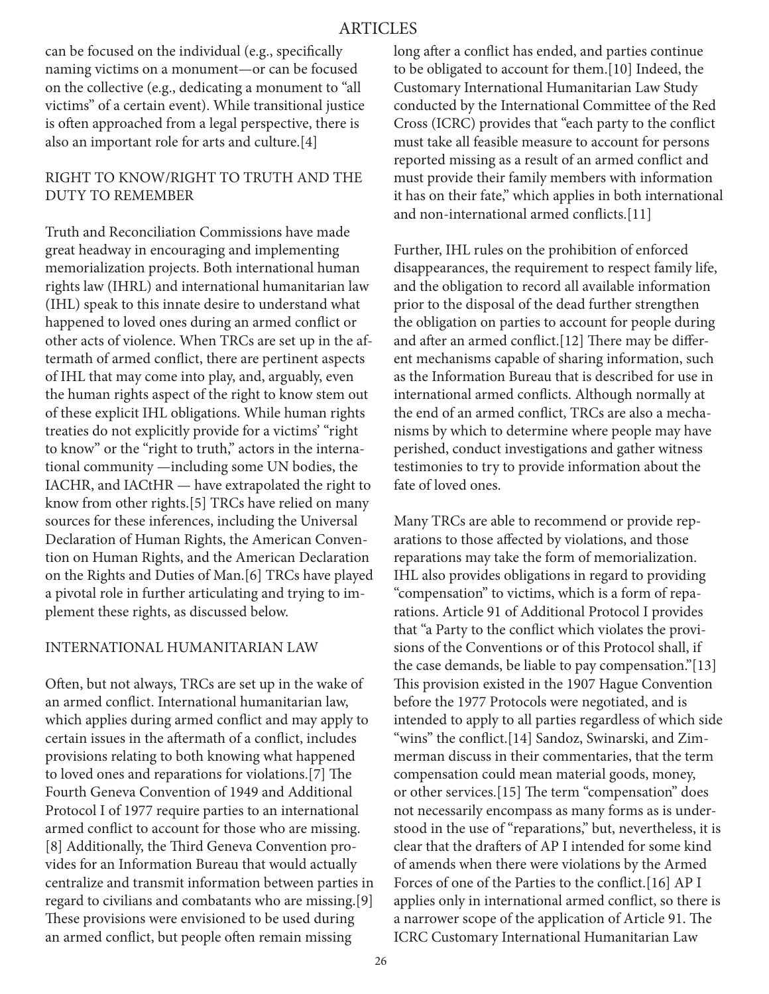can be focused on the individual (e.g., specifically naming victims on a monument—or can be focused on the collective (e.g., dedicating a monument to "all victims" of a certain event). While transitional justice is often approached from a legal perspective, there is also an important role for arts and culture.[4]

## RIGHT TO KNOW/RIGHT TO TRUTH AND THE DUTY TO REMEMBER

Truth and Reconciliation Commissions have made great headway in encouraging and implementing memorialization projects. Both international human rights law (IHRL) and international humanitarian law (IHL) speak to this innate desire to understand what happened to loved ones during an armed conflict or other acts of violence. When TRCs are set up in the aftermath of armed conflict, there are pertinent aspects of IHL that may come into play, and, arguably, even the human rights aspect of the right to know stem out of these explicit IHL obligations. While human rights treaties do not explicitly provide for a victims' "right to know" or the "right to truth," actors in the international community —including some UN bodies, the IACHR, and IACtHR — have extrapolated the right to know from other rights.[5] TRCs have relied on many sources for these inferences, including the Universal Declaration of Human Rights, the American Convention on Human Rights, and the American Declaration on the Rights and Duties of Man.[6] TRCs have played a pivotal role in further articulating and trying to implement these rights, as discussed below.

#### INTERNATIONAL HUMANITARIAN LAW

Often, but not always, TRCs are set up in the wake of an armed conflict. International humanitarian law, which applies during armed conflict and may apply to certain issues in the aftermath of a conflict, includes provisions relating to both knowing what happened to loved ones and reparations for violations.[7] The Fourth Geneva Convention of 1949 and Additional Protocol I of 1977 require parties to an international armed conflict to account for those who are missing. [8] Additionally, the Third Geneva Convention provides for an Information Bureau that would actually centralize and transmit information between parties in regard to civilians and combatants who are missing.[9] These provisions were envisioned to be used during an armed conflict, but people often remain missing

long after a conflict has ended, and parties continue to be obligated to account for them.[10] Indeed, the Customary International Humanitarian Law Study conducted by the International Committee of the Red Cross (ICRC) provides that "each party to the conflict must take all feasible measure to account for persons reported missing as a result of an armed conflict and must provide their family members with information it has on their fate," which applies in both international and non-international armed conflicts.[11]

Further, IHL rules on the prohibition of enforced disappearances, the requirement to respect family life, and the obligation to record all available information prior to the disposal of the dead further strengthen the obligation on parties to account for people during and after an armed conflict.[12] There may be different mechanisms capable of sharing information, such as the Information Bureau that is described for use in international armed conflicts. Although normally at the end of an armed conflict, TRCs are also a mechanisms by which to determine where people may have perished, conduct investigations and gather witness testimonies to try to provide information about the fate of loved ones.

Many TRCs are able to recommend or provide reparations to those affected by violations, and those reparations may take the form of memorialization. IHL also provides obligations in regard to providing "compensation" to victims, which is a form of reparations. Article 91 of Additional Protocol I provides that "a Party to the conflict which violates the provisions of the Conventions or of this Protocol shall, if the case demands, be liable to pay compensation."[13] This provision existed in the 1907 Hague Convention before the 1977 Protocols were negotiated, and is intended to apply to all parties regardless of which side "wins" the conflict.[14] Sandoz, Swinarski, and Zimmerman discuss in their commentaries, that the term compensation could mean material goods, money, or other services.[15] The term "compensation" does not necessarily encompass as many forms as is understood in the use of "reparations," but, nevertheless, it is clear that the drafters of AP I intended for some kind of amends when there were violations by the Armed Forces of one of the Parties to the conflict.[16] AP I applies only in international armed conflict, so there is a narrower scope of the application of Article 91. The ICRC Customary International Humanitarian Law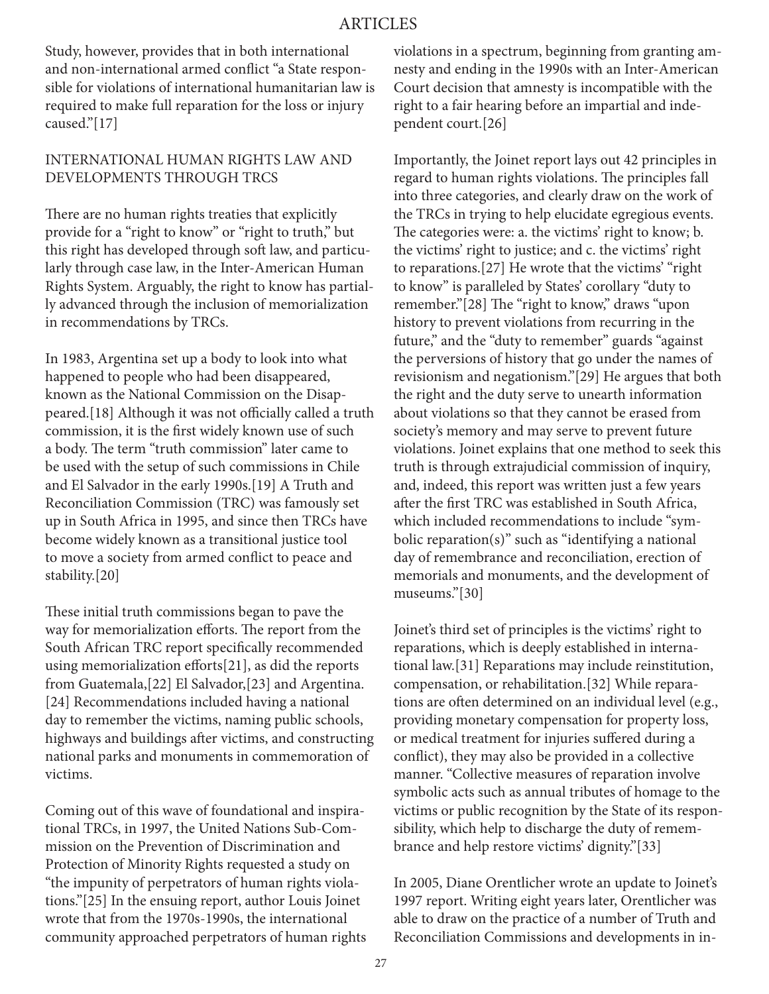### ARTICLES

Study, however, provides that in both international and non-international armed conflict "a State responsible for violations of international humanitarian law is required to make full reparation for the loss or injury caused."[17]

#### INTERNATIONAL HUMAN RIGHTS LAW AND DEVELOPMENTS THROUGH TRCS

There are no human rights treaties that explicitly provide for a "right to know" or "right to truth," but this right has developed through soft law, and particularly through case law, in the Inter-American Human Rights System. Arguably, the right to know has partially advanced through the inclusion of memorialization in recommendations by TRCs.

In 1983, Argentina set up a body to look into what happened to people who had been disappeared, known as the National Commission on the Disappeared.[18] Although it was not officially called a truth commission, it is the first widely known use of such a body. The term "truth commission" later came to be used with the setup of such commissions in Chile and El Salvador in the early 1990s.[19] A Truth and Reconciliation Commission (TRC) was famously set up in South Africa in 1995, and since then TRCs have become widely known as a transitional justice tool to move a society from armed conflict to peace and stability.[20]

These initial truth commissions began to pave the way for memorialization efforts. The report from the South African TRC report specifically recommended using memorialization efforts[21], as did the reports from Guatemala,[22] El Salvador,[23] and Argentina. [24] Recommendations included having a national day to remember the victims, naming public schools, highways and buildings after victims, and constructing national parks and monuments in commemoration of victims.

Coming out of this wave of foundational and inspirational TRCs, in 1997, the United Nations Sub-Commission on the Prevention of Discrimination and Protection of Minority Rights requested a study on "the impunity of perpetrators of human rights violations."[25] In the ensuing report, author Louis Joinet wrote that from the 1970s-1990s, the international community approached perpetrators of human rights violations in a spectrum, beginning from granting amnesty and ending in the 1990s with an Inter-American Court decision that amnesty is incompatible with the right to a fair hearing before an impartial and independent court.[26]

Importantly, the Joinet report lays out 42 principles in regard to human rights violations. The principles fall into three categories, and clearly draw on the work of the TRCs in trying to help elucidate egregious events. The categories were: a. the victims' right to know; b. the victims' right to justice; and c. the victims' right to reparations.[27] He wrote that the victims' "right to know" is paralleled by States' corollary "duty to remember."[28] The "right to know," draws "upon history to prevent violations from recurring in the future," and the "duty to remember" guards "against the perversions of history that go under the names of revisionism and negationism."[29] He argues that both the right and the duty serve to unearth information about violations so that they cannot be erased from society's memory and may serve to prevent future violations. Joinet explains that one method to seek this truth is through extrajudicial commission of inquiry, and, indeed, this report was written just a few years after the first TRC was established in South Africa, which included recommendations to include "symbolic reparation(s)" such as "identifying a national day of remembrance and reconciliation, erection of memorials and monuments, and the development of museums."[30]

Joinet's third set of principles is the victims' right to reparations, which is deeply established in international law.[31] Reparations may include reinstitution, compensation, or rehabilitation.[32] While reparations are often determined on an individual level (e.g., providing monetary compensation for property loss, or medical treatment for injuries suffered during a conflict), they may also be provided in a collective manner. "Collective measures of reparation involve symbolic acts such as annual tributes of homage to the victims or public recognition by the State of its responsibility, which help to discharge the duty of remembrance and help restore victims' dignity."[33]

In 2005, Diane Orentlicher wrote an update to Joinet's 1997 report. Writing eight years later, Orentlicher was able to draw on the practice of a number of Truth and Reconciliation Commissions and developments in in-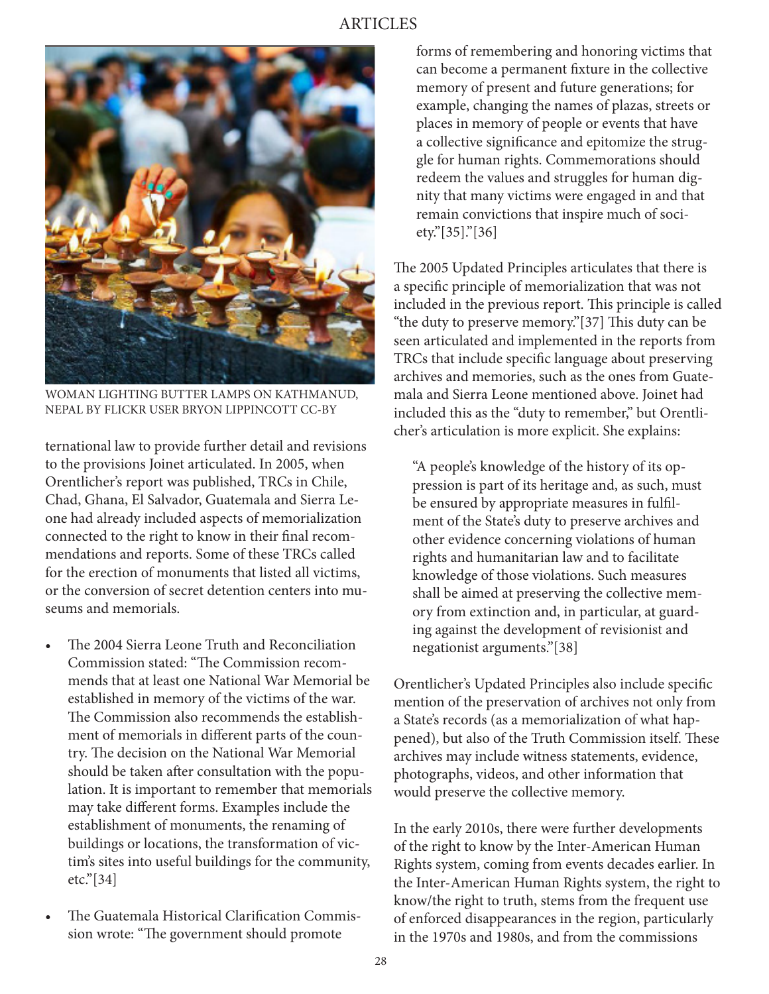

WOMAN LIGHTING BUTTER LAMPS ON KATHMANUD, NEPAL BY FLICKR USER BRYON LIPPINCOTT CC-BY

ternational law to provide further detail and revisions to the provisions Joinet articulated. In 2005, when Orentlicher's report was published, TRCs in Chile, Chad, Ghana, El Salvador, Guatemala and Sierra Leone had already included aspects of memorialization connected to the right to know in their final recommendations and reports. Some of these TRCs called for the erection of monuments that listed all victims, or the conversion of secret detention centers into museums and memorials.

- The 2004 Sierra Leone Truth and Reconciliation Commission stated: "The Commission recommends that at least one National War Memorial be established in memory of the victims of the war. The Commission also recommends the establishment of memorials in different parts of the country. The decision on the National War Memorial should be taken after consultation with the population. It is important to remember that memorials may take different forms. Examples include the establishment of monuments, the renaming of buildings or locations, the transformation of victim's sites into useful buildings for the community, etc."[34]
- The Guatemala Historical Clarification Commission wrote: "The government should promote

forms of remembering and honoring victims that can become a permanent fixture in the collective memory of present and future generations; for example, changing the names of plazas, streets or places in memory of people or events that have a collective significance and epitomize the struggle for human rights. Commemorations should redeem the values and struggles for human dignity that many victims were engaged in and that remain convictions that inspire much of society."[35]."[36]

The 2005 Updated Principles articulates that there is a specific principle of memorialization that was not included in the previous report. This principle is called "the duty to preserve memory."[37] This duty can be seen articulated and implemented in the reports from TRCs that include specific language about preserving archives and memories, such as the ones from Guatemala and Sierra Leone mentioned above. Joinet had included this as the "duty to remember," but Orentlicher's articulation is more explicit. She explains:

"A people's knowledge of the history of its oppression is part of its heritage and, as such, must be ensured by appropriate measures in fulfilment of the State's duty to preserve archives and other evidence concerning violations of human rights and humanitarian law and to facilitate knowledge of those violations. Such measures shall be aimed at preserving the collective memory from extinction and, in particular, at guarding against the development of revisionist and negationist arguments."[38]

Orentlicher's Updated Principles also include specific mention of the preservation of archives not only from a State's records (as a memorialization of what happened), but also of the Truth Commission itself. These archives may include witness statements, evidence, photographs, videos, and other information that would preserve the collective memory.

In the early 2010s, there were further developments of the right to know by the Inter-American Human Rights system, coming from events decades earlier. In the Inter-American Human Rights system, the right to know/the right to truth, stems from the frequent use of enforced disappearances in the region, particularly in the 1970s and 1980s, and from the commissions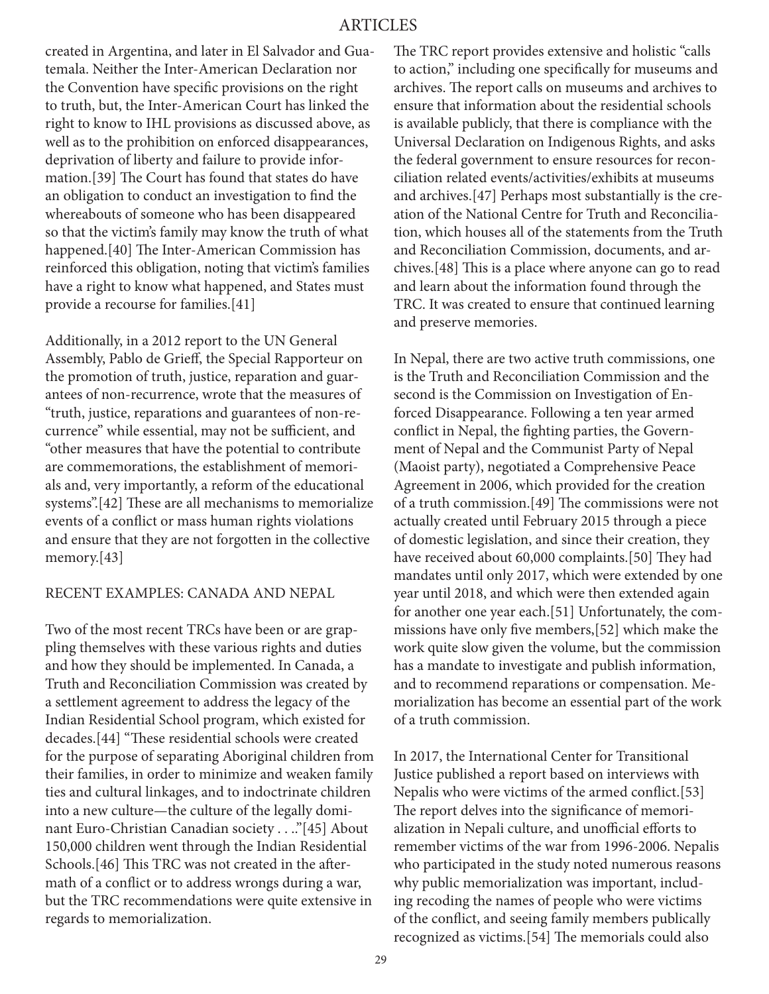created in Argentina, and later in El Salvador and Guatemala. Neither the Inter-American Declaration nor the Convention have specific provisions on the right to truth, but, the Inter-American Court has linked the right to know to IHL provisions as discussed above, as well as to the prohibition on enforced disappearances, deprivation of liberty and failure to provide information.[39] The Court has found that states do have an obligation to conduct an investigation to find the whereabouts of someone who has been disappeared so that the victim's family may know the truth of what happened.[40] The Inter-American Commission has reinforced this obligation, noting that victim's families have a right to know what happened, and States must provide a recourse for families.[41]

Additionally, in a 2012 report to the UN General Assembly, Pablo de Grieff, the Special Rapporteur on the promotion of truth, justice, reparation and guarantees of non-recurrence, wrote that the measures of "truth, justice, reparations and guarantees of non-recurrence" while essential, may not be sufficient, and "other measures that have the potential to contribute are commemorations, the establishment of memorials and, very importantly, a reform of the educational systems".[42] These are all mechanisms to memorialize events of a conflict or mass human rights violations and ensure that they are not forgotten in the collective memory.[43]

#### RECENT EXAMPLES: CANADA AND NEPAL

Two of the most recent TRCs have been or are grappling themselves with these various rights and duties and how they should be implemented. In Canada, a Truth and Reconciliation Commission was created by a settlement agreement to address the legacy of the Indian Residential School program, which existed for decades.[44] "These residential schools were created for the purpose of separating Aboriginal children from their families, in order to minimize and weaken family ties and cultural linkages, and to indoctrinate children into a new culture—the culture of the legally dominant Euro-Christian Canadian society . . .."[45] About 150,000 children went through the Indian Residential Schools.[46] This TRC was not created in the aftermath of a conflict or to address wrongs during a war, but the TRC recommendations were quite extensive in regards to memorialization.

The TRC report provides extensive and holistic "calls to action," including one specifically for museums and archives. The report calls on museums and archives to ensure that information about the residential schools is available publicly, that there is compliance with the Universal Declaration on Indigenous Rights, and asks the federal government to ensure resources for reconciliation related events/activities/exhibits at museums and archives.[47] Perhaps most substantially is the creation of the National Centre for Truth and Reconciliation, which houses all of the statements from the Truth and Reconciliation Commission, documents, and archives.[48] This is a place where anyone can go to read and learn about the information found through the TRC. It was created to ensure that continued learning and preserve memories.

In Nepal, there are two active truth commissions, one is the Truth and Reconciliation Commission and the second is the Commission on Investigation of Enforced Disappearance. Following a ten year armed conflict in Nepal, the fighting parties, the Government of Nepal and the Communist Party of Nepal (Maoist party), negotiated a Comprehensive Peace Agreement in 2006, which provided for the creation of a truth commission.[49] The commissions were not actually created until February 2015 through a piece of domestic legislation, and since their creation, they have received about 60,000 complaints.[50] They had mandates until only 2017, which were extended by one year until 2018, and which were then extended again for another one year each.[51] Unfortunately, the commissions have only five members,[52] which make the work quite slow given the volume, but the commission has a mandate to investigate and publish information, and to recommend reparations or compensation. Memorialization has become an essential part of the work of a truth commission.

In 2017, the International Center for Transitional Justice published a report based on interviews with Nepalis who were victims of the armed conflict.[53] The report delves into the significance of memorialization in Nepali culture, and unofficial efforts to remember victims of the war from 1996-2006. Nepalis who participated in the study noted numerous reasons why public memorialization was important, including recoding the names of people who were victims of the conflict, and seeing family members publically recognized as victims.[54] The memorials could also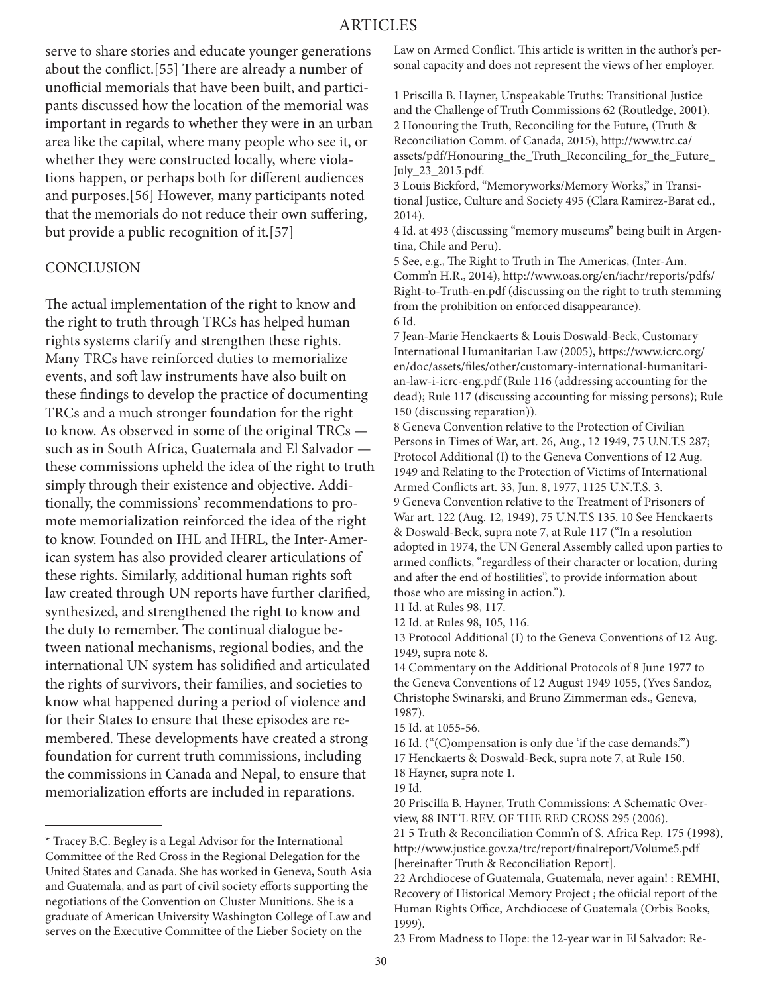## ARTICLES

serve to share stories and educate younger generations about the conflict.[55] There are already a number of unofficial memorials that have been built, and participants discussed how the location of the memorial was important in regards to whether they were in an urban area like the capital, where many people who see it, or whether they were constructed locally, where violations happen, or perhaps both for different audiences and purposes.[56] However, many participants noted that the memorials do not reduce their own suffering, but provide a public recognition of it.[57]

#### **CONCLUSION**

The actual implementation of the right to know and the right to truth through TRCs has helped human rights systems clarify and strengthen these rights. Many TRCs have reinforced duties to memorialize events, and soft law instruments have also built on these findings to develop the practice of documenting TRCs and a much stronger foundation for the right to know. As observed in some of the original TRCs such as in South Africa, Guatemala and El Salvador these commissions upheld the idea of the right to truth simply through their existence and objective. Additionally, the commissions' recommendations to promote memorialization reinforced the idea of the right to know. Founded on IHL and IHRL, the Inter-American system has also provided clearer articulations of these rights. Similarly, additional human rights soft law created through UN reports have further clarified, synthesized, and strengthened the right to know and the duty to remember. The continual dialogue between national mechanisms, regional bodies, and the international UN system has solidified and articulated the rights of survivors, their families, and societies to know what happened during a period of violence and for their States to ensure that these episodes are remembered. These developments have created a strong foundation for current truth commissions, including the commissions in Canada and Nepal, to ensure that memorialization efforts are included in reparations.

Law on Armed Conflict. This article is written in the author's personal capacity and does not represent the views of her employer.

1 Priscilla B. Hayner, Unspeakable Truths: Transitional Justice and the Challenge of Truth Commissions 62 (Routledge, 2001). 2 Honouring the Truth, Reconciling for the Future, (Truth & Reconciliation Comm. of Canada, 2015), http://www.trc.ca/ assets/pdf/Honouring\_the\_Truth\_Reconciling\_for\_the\_Future\_ July\_23\_2015.pdf.

3 Louis Bickford, "Memoryworks/Memory Works," in Transitional Justice, Culture and Society 495 (Clara Ramirez-Barat ed., 2014).

4 Id. at 493 (discussing "memory museums" being built in Argentina, Chile and Peru).

5 See, e.g., The Right to Truth in The Americas, (Inter-Am. Comm'n H.R., 2014), http://www.oas.org/en/iachr/reports/pdfs/ Right-to-Truth-en.pdf (discussing on the right to truth stemming from the prohibition on enforced disappearance). 6 Id.

7 Jean-Marie Henckaerts & Louis Doswald-Beck, Customary International Humanitarian Law (2005), https://www.icrc.org/ en/doc/assets/files/other/customary-international-humanitarian-law-i-icrc-eng.pdf (Rule 116 (addressing accounting for the dead); Rule 117 (discussing accounting for missing persons); Rule 150 (discussing reparation)).

8 Geneva Convention relative to the Protection of Civilian Persons in Times of War, art. 26, Aug., 12 1949, 75 U.N.T.S 287; Protocol Additional (I) to the Geneva Conventions of 12 Aug. 1949 and Relating to the Protection of Victims of International Armed Conflicts art. 33, Jun. 8, 1977, 1125 U.N.T.S. 3. 9 Geneva Convention relative to the Treatment of Prisoners of War art. 122 (Aug. 12, 1949), 75 U.N.T.S 135. 10 See Henckaerts & Doswald-Beck, supra note 7, at Rule 117 ("In a resolution

adopted in 1974, the UN General Assembly called upon parties to armed conflicts, "regardless of their character or location, during and after the end of hostilities", to provide information about those who are missing in action.").

11 Id. at Rules 98, 117.

12 Id. at Rules 98, 105, 116.

13 Protocol Additional (I) to the Geneva Conventions of 12 Aug. 1949, supra note 8.

14 Commentary on the Additional Protocols of 8 June 1977 to the Geneva Conventions of 12 August 1949 1055, (Yves Sandoz, Christophe Swinarski, and Bruno Zimmerman eds., Geneva, 1987).

15 Id. at 1055-56.

16 Id. ("(C)ompensation is only due 'if the case demands.'")

17 Henckaerts & Doswald-Beck, supra note 7, at Rule 150. 18 Hayner, supra note 1.

19 Id.

20 Priscilla B. Hayner, Truth Commissions: A Schematic Overview, 88 INT'L REV. OF THE RED CROSS 295 (2006).

21 5 Truth & Reconciliation Comm'n of S. Africa Rep. 175 (1998), http://www.justice.gov.za/trc/report/finalreport/Volume5.pdf [hereinafter Truth & Reconciliation Report].

22 Archdiocese of Guatemala, Guatemala, never again! : REMHI, Recovery of Historical Memory Project ; the ofiicial report of the Human Rights Office, Archdiocese of Guatemala (Orbis Books, 1999).

23 From Madness to Hope: the 12-year war in El Salvador: Re-

<sup>\*</sup> Tracey B.C. Begley is a Legal Advisor for the International Committee of the Red Cross in the Regional Delegation for the United States and Canada. She has worked in Geneva, South Asia and Guatemala, and as part of civil society efforts supporting the negotiations of the Convention on Cluster Munitions. She is a graduate of American University Washington College of Law and serves on the Executive Committee of the Lieber Society on the